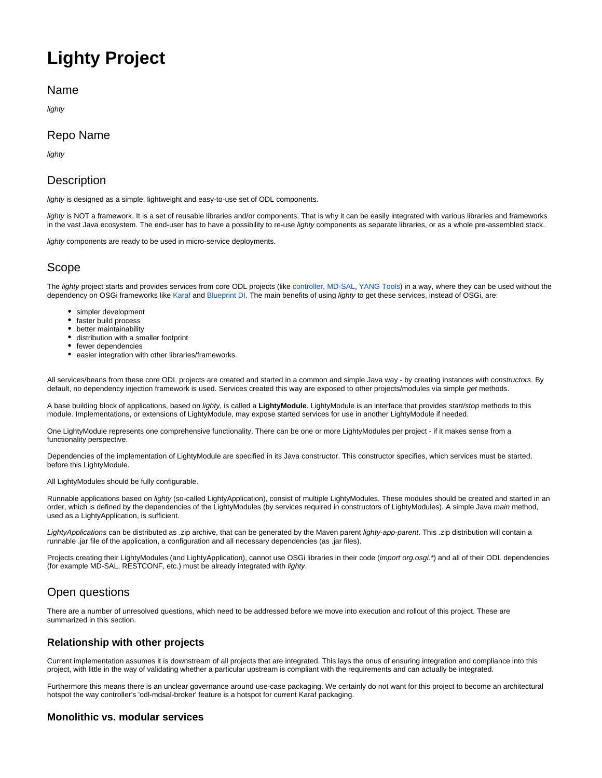# **Lighty Project**

#### Name

lighty

## Repo Name

lighty

## **Description**

lighty is designed as a simple, lightweight and easy-to-use set of ODL components.

lighty is NOT a framework. It is a set of reusable libraries and/or components. That is why it can be easily integrated with various libraries and frameworks in the vast Java ecosystem. The end-user has to have a possibility to re-use lighty components as separate libraries, or as a whole pre-assembled stack.

lighty components are ready to be used in micro-service deployments.

# Scope

The lighty project starts and provides services from core ODL projects (like [controller,](https://git.opendaylight.org/gerrit/gitweb?p=controller.git;a=summary) [MD-SAL](https://git.opendaylight.org/gerrit/gitweb?p=mdsal.git;a=summary), [YANG Tools](https://git.opendaylight.org/gerrit/gitweb?p=yangtools.git;a=summary)) in a way, where they can be used without the dependency on OSGi frameworks like [Karaf](https://karaf.apache.org/) and [Blueprint DI.](https://aries.apache.org/modules/blueprint.html) The main benefits of using lighty to get these services, instead of OSGi, are:

- simpler development
- faster build process
- better maintainability
- distribution with a smaller footprint
- fewer dependencies
- easier integration with other libraries/frameworks.

All services/beans from these core ODL projects are created and started in a common and simple Java way - by creating instances with constructors. By default, no dependency injection framework is used. Services created this way are exposed to other projects/modules via simple get methods.

A base building block of applications, based on lighty, is called a **LightyModule**. LightyModule is an interface that provides start/stop methods to this module. Implementations, or extensions of LightyModule, may expose started services for use in another LightyModule if needed.

One LightyModule represents one comprehensive functionality. There can be one or more LightyModules per project - if it makes sense from a functionality perspective.

Dependencies of the implementation of LightyModule are specified in its Java constructor. This constructor specifies, which services must be started, before this LightyModule.

All LightyModules should be fully configurable.

Runnable applications based on lighty (so-called LightyApplication), consist of multiple LightyModules. These modules should be created and started in an order, which is defined by the dependencies of the LightyModules (by services required in constructors of LightyModules). A simple Java main method, used as a LightyApplication, is sufficient.

LightyApplications can be distributed as .zip archive, that can be generated by the Maven parent lighty-app-parent. This .zip distribution will contain a runnable .jar file of the application, a configuration and all necessary dependencies (as .jar files).

Projects creating their LightyModules (and LightyApplication), cannot use OSGi libraries in their code (import org.osgi.\*) and all of their ODL dependencies (for example MD-SAL, RESTCONF, etc.) must be already integrated with lighty.

# Open questions

There are a number of unresolved questions, which need to be addressed before we move into execution and rollout of this project. These are summarized in this section.

#### **Relationship with other projects**

Current implementation assumes it is downstream of all projects that are integrated. This lays the onus of ensuring integration and compliance into this project, with little in the way of validating whether a particular upstream is compliant with the requirements and can actually be integrated.

Furthermore this means there is an unclear governance around use-case packaging. We certainly do not want for this project to become an architectural hotspot the way controller's 'odl-mdsal-broker' feature is a hotspot for current Karaf packaging.

#### **Monolithic vs. modular services**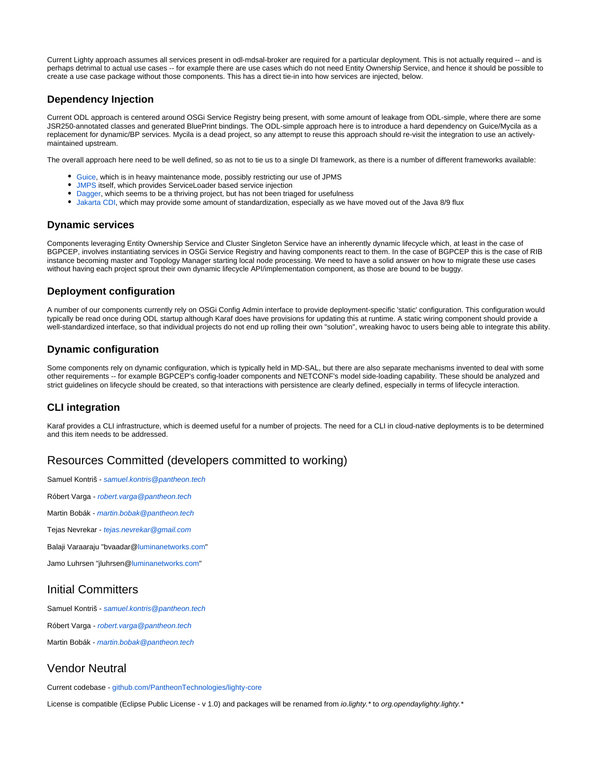Current Lighty approach assumes all services present in odl-mdsal-broker are required for a particular deployment. This is not actually required -- and is perhaps detrimal to actual use cases -- for example there are use cases which do not need Entity Ownership Service, and hence it should be possible to create a use case package without those components. This has a direct tie-in into how services are injected, below.

#### **Dependency Injection**

Current ODL approach is centered around OSGi Service Registry being present, with some amount of leakage from ODL-simple, where there are some JSR250-annotated classes and generated BluePrint bindings. The ODL-simple approach here is to introduce a hard dependency on Guice/Mycila as a replacement for dynamic/BP services. Mycila is a dead project, so any attempt to reuse this approach should re-visit the integration to use an activelymaintained upstream.

The overall approach here need to be well defined, so as not to tie us to a single DI framework, as there is a number of different frameworks available:

- **[Guice,](https://github.com/google/guice/) which is in heavy maintenance mode, possibly restricting our use of JPMS**
- **[JMPS](https://www.oreilly.com/ideas/handling-dependency-injection-using-java9-modularity) itself, which provides ServiceLoader based service injection**
- [Dagger,](https://github.com/google/dagger) which seems to be a thriving project, but has not been triaged for usefulness
- $\bullet$ [Jakarta CDI,](https://www.baeldung.com/java-ee-cdi) which may provide some amount of standardization, especially as we have moved out of the Java 8/9 flux

#### **Dynamic services**

Components leveraging Entity Ownership Service and Cluster Singleton Service have an inherently dynamic lifecycle which, at least in the case of BGPCEP, involves instantiating services in OSGi Service Registry and having components react to them. In the case of BGPCEP this is the case of RIB instance becoming master and Topology Manager starting local node processing. We need to have a solid answer on how to migrate these use cases without having each project sprout their own dynamic lifecycle API/implementation component, as those are bound to be buggy.

#### **Deployment configuration**

A number of our components currently rely on OSGi Config Admin interface to provide deployment-specific 'static' configuration. This configuration would typically be read once during ODL startup although Karaf does have provisions for updating this at runtime. A static wiring component should provide a well-standardized interface, so that individual projects do not end up rolling their own "solution", wreaking havoc to users being able to integrate this ability.

#### **Dynamic configuration**

Some components rely on dynamic configuration, which is typically held in MD-SAL, but there are also separate mechanisms invented to deal with some other requirements -- for example BGPCEP's config-loader components and NETCONF's model side-loading capability. These should be analyzed and strict guidelines on lifecycle should be created, so that interactions with persistence are clearly defined, especially in terms of lifecycle interaction.

#### **CLI integration**

Karaf provides a CLI infrastructure, which is deemed useful for a number of projects. The need for a CLI in cloud-native deployments is to be determined and this item needs to be addressed.

### Resources Committed (developers committed to working)

Samuel Kontriš - [samuel.kontris@pantheon.tech](mailto:samuel.kontris@pantheon.tech) Róbert Varga - [robert.varga@pantheon.tech](mailto:robert.varga@pantheon.tech) Martin Bobák - [martin.bobak@pantheon.tech](mailto:martin.bobak@pantheon.tech) Tejas Nevrekar - [tejas.nevrekar@gmail.com](mailto:tejas.nevrekar@gmail.com) Balaji Varaaraju "bvaadar[@luminanetworks.com"](http://luminanetworks.com) Jamo Luhrsen "jluhrsen[@luminanetworks.com](http://luminanetworks.com)"

## Initial Committers

Samuel Kontriš - [samuel.kontris@pantheon.tech](mailto:samuel.kontris@pantheon.tech) Róbert Varga - [robert.varga@pantheon.tech](mailto:robert.varga@pantheon.tech)

Martin Bobák - [martin.bobak@pantheon.tech](mailto:martin.bobak@pantheon.tech)

# Vendor Neutral

Current codebase - [github.com/PantheonTechnologies/lighty-core](https://github.com/PantheonTechnologies/lighty-core)

License is compatible (Eclipse Public License - v 1.0) and packages will be renamed from io.lighty.\* to org.opendaylighty.lighty.\*